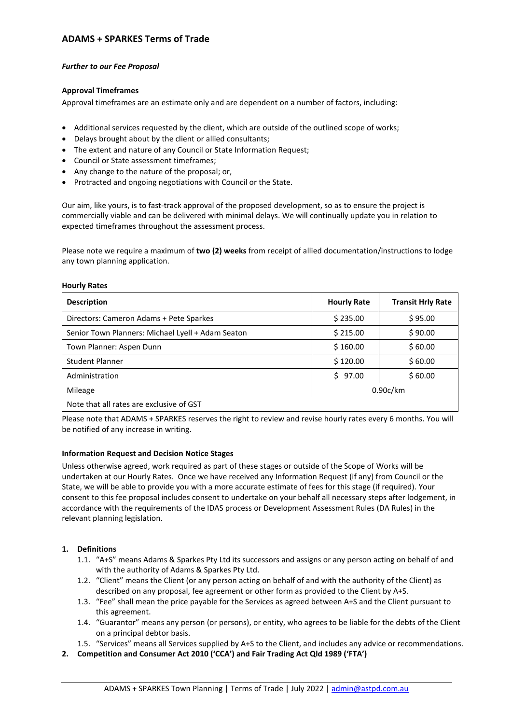# **ADAMS + SPARKES Terms of Trade**

### *Further to our Fee Proposal*

## **Approval Timeframes**

Approval timeframes are an estimate only and are dependent on a number of factors, including:

- Additional services requested by the client, which are outside of the outlined scope of works;
- Delays brought about by the client or allied consultants;
- The extent and nature of any Council or State Information Request;
- Council or State assessment timeframes;
- Any change to the nature of the proposal; or,
- Protracted and ongoing negotiations with Council or the State.

Our aim, like yours, is to fast-track approval of the proposed development, so as to ensure the project is commercially viable and can be delivered with minimal delays. We will continually update you in relation to expected timeframes throughout the assessment process.

Please note we require a maximum of **two (2) weeks** from receipt of allied documentation/instructions to lodge any town planning application.

#### **Hourly Rates**

| <b>Description</b>                                | <b>Hourly Rate</b> | <b>Transit Hrly Rate</b> |
|---------------------------------------------------|--------------------|--------------------------|
| Directors: Cameron Adams + Pete Sparkes           | \$235.00           | \$95.00                  |
| Senior Town Planners: Michael Lyell + Adam Seaton | \$215.00           | \$90.00                  |
| Town Planner: Aspen Dunn                          | \$160.00           | \$60.00                  |
| <b>Student Planner</b>                            | \$120.00           | \$60.00                  |
| Administration                                    | \$97.00            | \$60.00                  |
| Mileage                                           | 0.90c/km           |                          |
| Note that all rates are exclusive of GST          |                    |                          |

Please note that ADAMS + SPARKES reserves the right to review and revise hourly rates every 6 months. You will be notified of any increase in writing.

### **Information Request and Decision Notice Stages**

Unless otherwise agreed, work required as part of these stages or outside of the Scope of Works will be undertaken at our Hourly Rates. Once we have received any Information Request (if any) from Council or the State, we will be able to provide you with a more accurate estimate of fees for this stage (if required). Your consent to this fee proposal includes consent to undertake on your behalf all necessary steps after lodgement, in accordance with the requirements of the IDAS process or Development Assessment Rules (DA Rules) in the relevant planning legislation.

## **1. Definitions**

- 1.1. "A+S" means Adams & Sparkes Pty Ltd its successors and assigns or any person acting on behalf of and with the authority of Adams & Sparkes Pty Ltd.
- 1.2. "Client" means the Client (or any person acting on behalf of and with the authority of the Client) as described on any proposal, fee agreement or other form as provided to the Client by A+S.
- 1.3. "Fee" shall mean the price payable for the Services as agreed between A+S and the Client pursuant to this agreement.
- 1.4. "Guarantor" means any person (or persons), or entity, who agrees to be liable for the debts of the Client on a principal debtor basis.
- 1.5. "Services" means all Services supplied by A+S to the Client, and includes any advice or recommendations.
- **2. Competition and Consumer Act 2010 ('CCA') and Fair Trading Act Qld 1989 ('FTA')**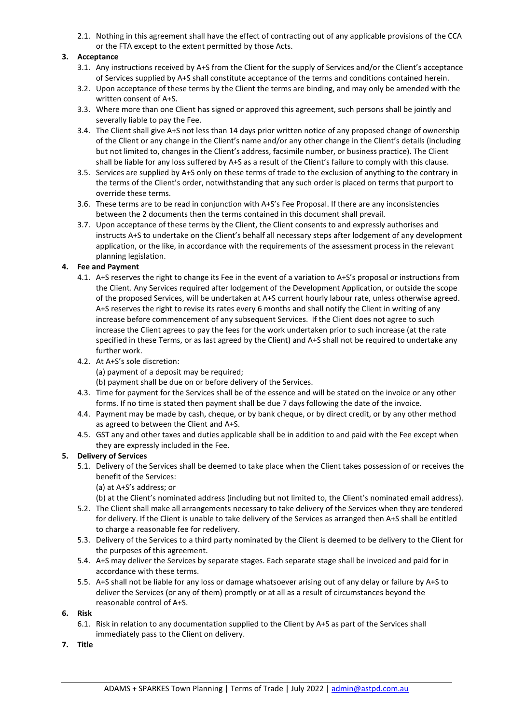2.1. Nothing in this agreement shall have the effect of contracting out of any applicable provisions of the CCA or the FTA except to the extent permitted by those Acts.

## **3. Acceptance**

- 3.1. Any instructions received by A+S from the Client for the supply of Services and/or the Client's acceptance of Services supplied by A+S shall constitute acceptance of the terms and conditions contained herein.
- 3.2. Upon acceptance of these terms by the Client the terms are binding, and may only be amended with the written consent of A+S.
- 3.3. Where more than one Client has signed or approved this agreement, such persons shall be jointly and severally liable to pay the Fee.
- 3.4. The Client shall give A+S not less than 14 days prior written notice of any proposed change of ownership of the Client or any change in the Client's name and/or any other change in the Client's details (including but not limited to, changes in the Client's address, facsimile number, or business practice). The Client shall be liable for any loss suffered by A+S as a result of the Client's failure to comply with this clause.
- 3.5. Services are supplied by A+S only on these terms of trade to the exclusion of anything to the contrary in the terms of the Client's order, notwithstanding that any such order is placed on terms that purport to override these terms.
- 3.6. These terms are to be read in conjunction with A+S's Fee Proposal. If there are any inconsistencies between the 2 documents then the terms contained in this document shall prevail.
- 3.7. Upon acceptance of these terms by the Client, the Client consents to and expressly authorises and instructs A+S to undertake on the Client's behalf all necessary steps after lodgement of any development application, or the like, in accordance with the requirements of the assessment process in the relevant planning legislation.

### **4. Fee and Payment**

- 4.1. A+S reserves the right to change its Fee in the event of a variation to A+S's proposal or instructions from the Client. Any Services required after lodgement of the Development Application, or outside the scope of the proposed Services, will be undertaken at A+S current hourly labour rate, unless otherwise agreed. A+S reserves the right to revise its rates every 6 months and shall notify the Client in writing of any increase before commencement of any subsequent Services. If the Client does not agree to such increase the Client agrees to pay the fees for the work undertaken prior to such increase (at the rate specified in these Terms, or as last agreed by the Client) and A+S shall not be required to undertake any further work.
- 4.2. At A+S's sole discretion: (a) payment of a deposit may be required; (b) payment shall be due on or before delivery of the Services.
- 4.3. Time for payment for the Services shall be of the essence and will be stated on the invoice or any other forms. If no time is stated then payment shall be due 7 days following the date of the invoice.
- 4.4. Payment may be made by cash, cheque, or by bank cheque, or by direct credit, or by any other method as agreed to between the Client and A+S.
- 4.5. GST any and other taxes and duties applicable shall be in addition to and paid with the Fee except when they are expressly included in the Fee.

### **5. Delivery of Services**

- 5.1. Delivery of the Services shall be deemed to take place when the Client takes possession of or receives the benefit of the Services:
	- (a) at A+S's address; or

(b) at the Client's nominated address (including but not limited to, the Client's nominated email address).

- 5.2. The Client shall make all arrangements necessary to take delivery of the Services when they are tendered for delivery. If the Client is unable to take delivery of the Services as arranged then A+S shall be entitled to charge a reasonable fee for redelivery.
- 5.3. Delivery of the Services to a third party nominated by the Client is deemed to be delivery to the Client for the purposes of this agreement.
- 5.4. A+S may deliver the Services by separate stages. Each separate stage shall be invoiced and paid for in accordance with these terms.
- 5.5. A+S shall not be liable for any loss or damage whatsoever arising out of any delay or failure by A+S to deliver the Services (or any of them) promptly or at all as a result of circumstances beyond the reasonable control of A+S.
- **6. Risk**
	- 6.1. Risk in relation to any documentation supplied to the Client by A+S as part of the Services shall immediately pass to the Client on delivery.
- **7. Title**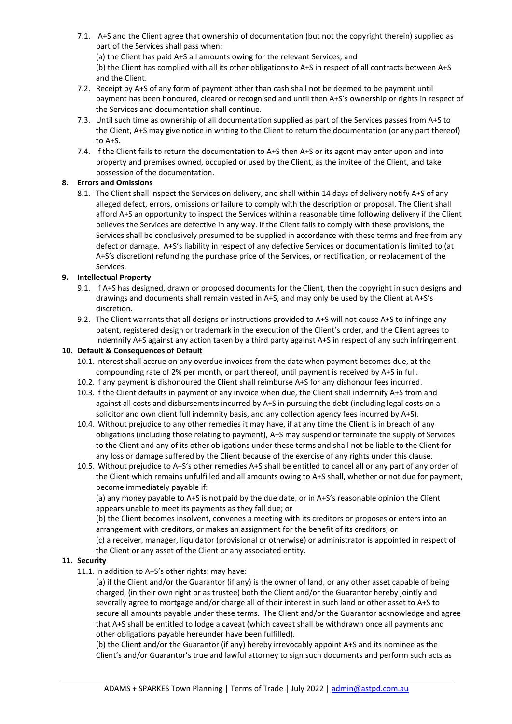- 7.1. A+S and the Client agree that ownership of documentation (but not the copyright therein) supplied as part of the Services shall pass when: (a) the Client has paid A+S all amounts owing for the relevant Services; and (b) the Client has complied with all its other obligations to A+S in respect of all contracts between A+S and the Client.
- 7.2. Receipt by A+S of any form of payment other than cash shall not be deemed to be payment until payment has been honoured, cleared or recognised and until then A+S's ownership or rights in respect of the Services and documentation shall continue.
- 7.3. Until such time as ownership of all documentation supplied as part of the Services passes from A+S to the Client, A+S may give notice in writing to the Client to return the documentation (or any part thereof) to A+S.
- 7.4. If the Client fails to return the documentation to A+S then A+S or its agent may enter upon and into property and premises owned, occupied or used by the Client, as the invitee of the Client, and take possession of the documentation.

# **8. Errors and Omissions**

8.1. The Client shall inspect the Services on delivery, and shall within 14 days of delivery notify A+S of any alleged defect, errors, omissions or failure to comply with the description or proposal. The Client shall afford A+S an opportunity to inspect the Services within a reasonable time following delivery if the Client believes the Services are defective in any way. If the Client fails to comply with these provisions, the Services shall be conclusively presumed to be supplied in accordance with these terms and free from any defect or damage. A+S's liability in respect of any defective Services or documentation is limited to (at A+S's discretion) refunding the purchase price of the Services, or rectification, or replacement of the Services.

# **9. Intellectual Property**

- 9.1. If A+S has designed, drawn or proposed documents for the Client, then the copyright in such designs and drawings and documents shall remain vested in A+S, and may only be used by the Client at A+S's discretion.
- 9.2. The Client warrants that all designs or instructions provided to A+S will not cause A+S to infringe any patent, registered design or trademark in the execution of the Client's order, and the Client agrees to indemnify A+S against any action taken by a third party against A+S in respect of any such infringement.

### **10. Default & Consequences of Default**

- 10.1. Interest shall accrue on any overdue invoices from the date when payment becomes due, at the compounding rate of 2% per month, or part thereof, until payment is received by A+S in full.
- 10.2. If any payment is dishonoured the Client shall reimburse A+S for any dishonour fees incurred.
- 10.3. If the Client defaults in payment of any invoice when due, the Client shall indemnify A+S from and against all costs and disbursements incurred by A+S in pursuing the debt (including legal costs on a solicitor and own client full indemnity basis, and any collection agency fees incurred by A+S).
- 10.4. Without prejudice to any other remedies it may have, if at any time the Client is in breach of any obligations (including those relating to payment), A+S may suspend or terminate the supply of Services to the Client and any of its other obligations under these terms and shall not be liable to the Client for any loss or damage suffered by the Client because of the exercise of any rights under this clause.
- 10.5. Without prejudice to A+S's other remedies A+S shall be entitled to cancel all or any part of any order of the Client which remains unfulfilled and all amounts owing to A+S shall, whether or not due for payment, become immediately payable if:

(a) any money payable to A+S is not paid by the due date, or in A+S's reasonable opinion the Client appears unable to meet its payments as they fall due; or

(b) the Client becomes insolvent, convenes a meeting with its creditors or proposes or enters into an arrangement with creditors, or makes an assignment for the benefit of its creditors; or

(c) a receiver, manager, liquidator (provisional or otherwise) or administrator is appointed in respect of the Client or any asset of the Client or any associated entity.

### **11. Security**

11.1. In addition to A+S's other rights: may have:

(a) if the Client and/or the Guarantor (if any) is the owner of land, or any other asset capable of being charged, (in their own right or as trustee) both the Client and/or the Guarantor hereby jointly and severally agree to mortgage and/or charge all of their interest in such land or other asset to A+S to secure all amounts payable under these terms. The Client and/or the Guarantor acknowledge and agree that A+S shall be entitled to lodge a caveat (which caveat shall be withdrawn once all payments and other obligations payable hereunder have been fulfilled).

(b) the Client and/or the Guarantor (if any) hereby irrevocably appoint A+S and its nominee as the Client's and/or Guarantor's true and lawful attorney to sign such documents and perform such acts as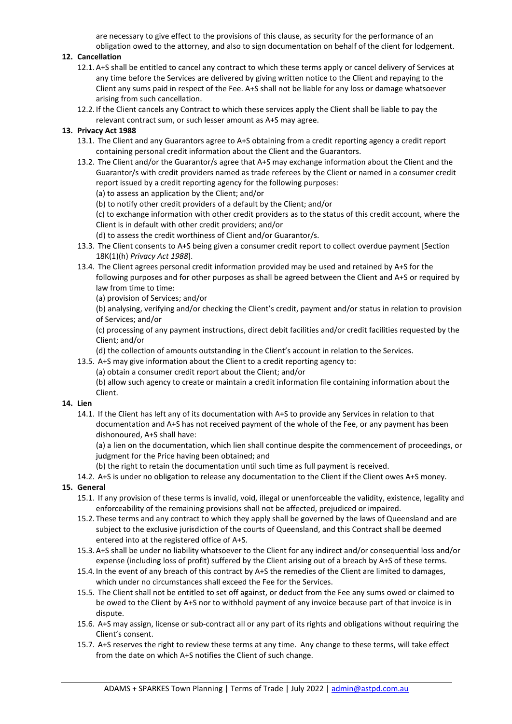are necessary to give effect to the provisions of this clause, as security for the performance of an obligation owed to the attorney, and also to sign documentation on behalf of the client for lodgement.

# **12. Cancellation**

- 12.1. A+S shall be entitled to cancel any contract to which these terms apply or cancel delivery of Services at any time before the Services are delivered by giving written notice to the Client and repaying to the Client any sums paid in respect of the Fee. A+S shall not be liable for any loss or damage whatsoever arising from such cancellation.
- 12.2. If the Client cancels any Contract to which these services apply the Client shall be liable to pay the relevant contract sum, or such lesser amount as A+S may agree.

## **13. Privacy Act 1988**

- 13.1. The Client and any Guarantors agree to A+S obtaining from a credit reporting agency a credit report containing personal credit information about the Client and the Guarantors.
- 13.2. The Client and/or the Guarantor/s agree that A+S may exchange information about the Client and the Guarantor/s with credit providers named as trade referees by the Client or named in a consumer credit report issued by a credit reporting agency for the following purposes:
	- (a) to assess an application by the Client; and/or
	- (b) to notify other credit providers of a default by the Client; and/or

(c) to exchange information with other credit providers as to the status of this credit account, where the Client is in default with other credit providers; and/or

- (d) to assess the credit worthiness of Client and/or Guarantor/s.
- 13.3. The Client consents to A+S being given a consumer credit report to collect overdue payment [Section 18K(1)(h) *Privacy Act 1988*].
- 13.4. The Client agrees personal credit information provided may be used and retained by A+S for the following purposes and for other purposes as shall be agreed between the Client and A+S or required by law from time to time:
	- (a) provision of Services; and/or

(b) analysing, verifying and/or checking the Client's credit, payment and/or status in relation to provision of Services; and/or

(c) processing of any payment instructions, direct debit facilities and/or credit facilities requested by the Client; and/or

- (d) the collection of amounts outstanding in the Client's account in relation to the Services.
- 13.5. A+S may give information about the Client to a credit reporting agency to:

(a) obtain a consumer credit report about the Client; and/or

(b) allow such agency to create or maintain a credit information file containing information about the Client.

## **14. Lien**

14.1. If the Client has left any of its documentation with A+S to provide any Services in relation to that documentation and A+S has not received payment of the whole of the Fee, or any payment has been dishonoured, A+S shall have:

(a) a lien on the documentation, which lien shall continue despite the commencement of proceedings, or judgment for the Price having been obtained; and

- (b) the right to retain the documentation until such time as full payment is received.
- 14.2. A+S is under no obligation to release any documentation to the Client if the Client owes A+S money.

# **15. General**

- 15.1. If any provision of these terms is invalid, void, illegal or unenforceable the validity, existence, legality and enforceability of the remaining provisions shall not be affected, prejudiced or impaired.
- 15.2. These terms and any contract to which they apply shall be governed by the laws of Queensland and are subject to the exclusive jurisdiction of the courts of Queensland, and this Contract shall be deemed entered into at the registered office of A+S.
- 15.3. A+S shall be under no liability whatsoever to the Client for any indirect and/or consequential loss and/or expense (including loss of profit) suffered by the Client arising out of a breach by A+S of these terms.
- 15.4. In the event of any breach of this contract by A+S the remedies of the Client are limited to damages, which under no circumstances shall exceed the Fee for the Services.
- 15.5. The Client shall not be entitled to set off against, or deduct from the Fee any sums owed or claimed to be owed to the Client by A+S nor to withhold payment of any invoice because part of that invoice is in dispute.
- 15.6. A+S may assign, license or sub-contract all or any part of its rights and obligations without requiring the Client's consent.
- 15.7. A+S reserves the right to review these terms at any time. Any change to these terms, will take effect from the date on which A+S notifies the Client of such change.